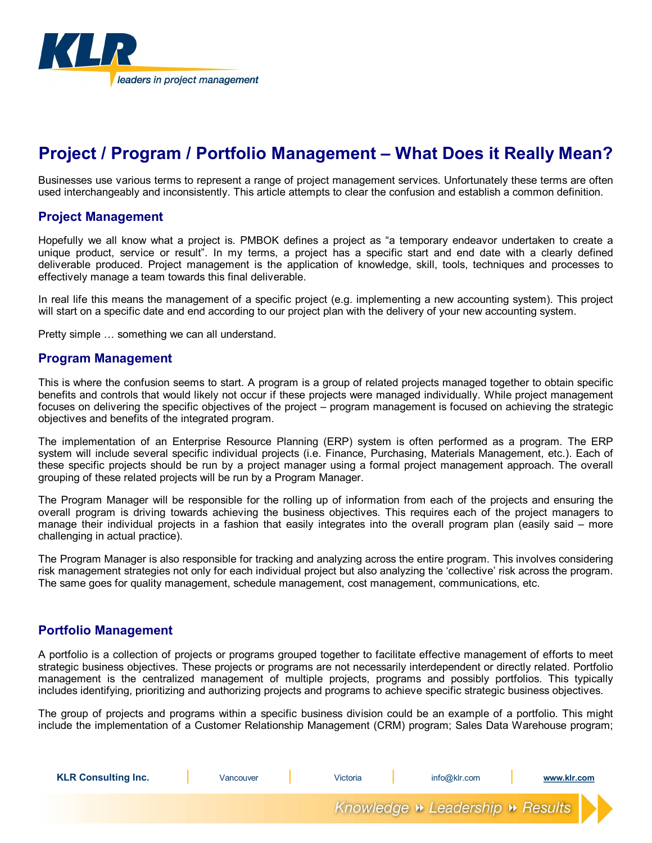

# **Project / Program / Portfolio Management – What Does it Really Mean?**

Businesses use various terms to represent a range of project management services. Unfortunately these terms are often used interchangeably and inconsistently. This article attempts to clear the confusion and establish a common definition.

### **Project Management**

Hopefully we all know what a project is. PMBOK defines a project as "a temporary endeavor undertaken to create a unique product, service or result". In my terms, a project has a specific start and end date with a clearly defined deliverable produced. Project management is the application of knowledge, skill, tools, techniques and processes to effectively manage a team towards this final deliverable.

In real life this means the management of a specific project (e.g. implementing a new accounting system). This project will start on a specific date and end according to our project plan with the delivery of your new accounting system.

Pretty simple … something we can all understand.

### **Program Management**

This is where the confusion seems to start. A program is a group of related projects managed together to obtain specific benefits and controls that would likely not occur if these projects were managed individually. While project management focuses on delivering the specific objectives of the project – program management is focused on achieving the strategic objectives and benefits of the integrated program.

The implementation of an Enterprise Resource Planning (ERP) system is often performed as a program. The ERP system will include several specific individual projects (i.e. Finance, Purchasing, Materials Management, etc.). Each of these specific projects should be run by a project manager using a formal project management approach. The overall grouping of these related projects will be run by a Program Manager.

The Program Manager will be responsible for the rolling up of information from each of the projects and ensuring the overall program is driving towards achieving the business objectives. This requires each of the project managers to manage their individual projects in a fashion that easily integrates into the overall program plan (easily said – more challenging in actual practice).

The Program Manager is also responsible for tracking and analyzing across the entire program. This involves considering risk management strategies not only for each individual project but also analyzing the 'collective' risk across the program. The same goes for quality management, schedule management, cost management, communications, etc.

## **Portfolio Management**

A portfolio is a collection of projects or programs grouped together to facilitate effective management of efforts to meet strategic business objectives. These projects or programs are not necessarily interdependent or directly related. Portfolio management is the centralized management of multiple projects, programs and possibly portfolios. This typically includes identifying, prioritizing and authorizing projects and programs to achieve specific strategic business objectives.

The group of projects and programs within a specific business division could be an example of a portfolio. This might include the implementation of a Customer Relationship Management (CRM) program; Sales Data Warehouse program;